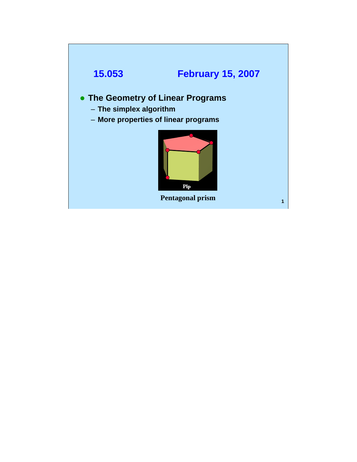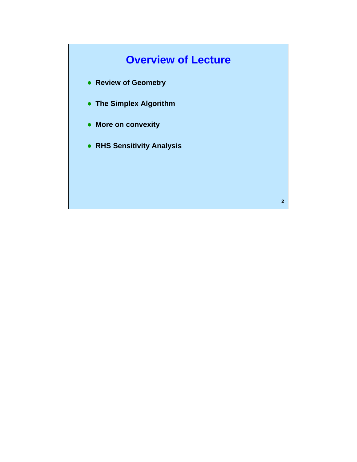# **Overview of Lecture**

- **Review of Geometry**
- **The Simplex Algorithm**
- **More on convexity**
- z **RHS Sensitivity Analysis**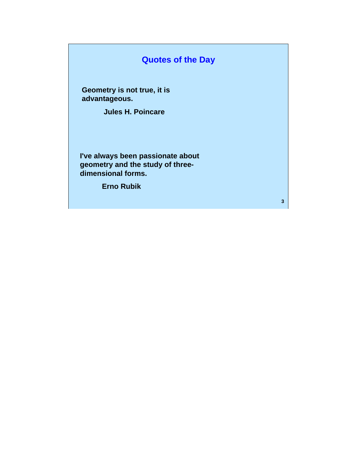### **Quotes of the Day**

**Geometry is not true, it is advantageous.** 

**Jules H. Poincare** 

**I've always been passionate about geometry and the study of threedimensional forms.** 

**Erno Rubik**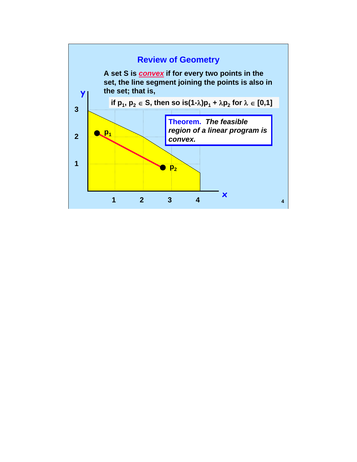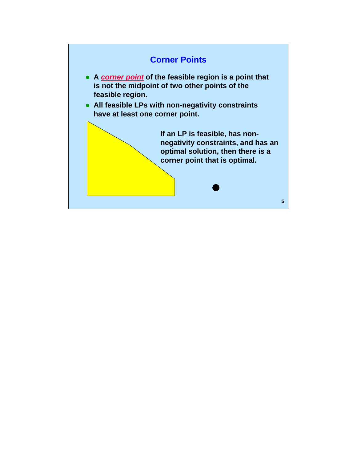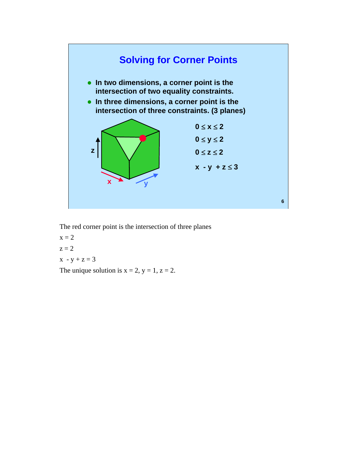

The red corner point is the intersection of three planes

 $x = 2$  $z = 2$  $x - y + z = 3$ 

The unique solution is  $x = 2$ ,  $y = 1$ ,  $z = 2$ .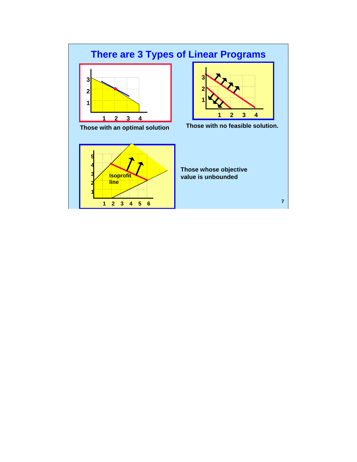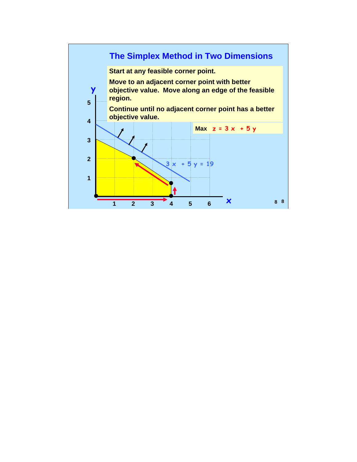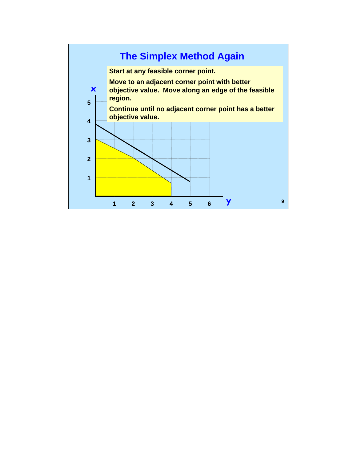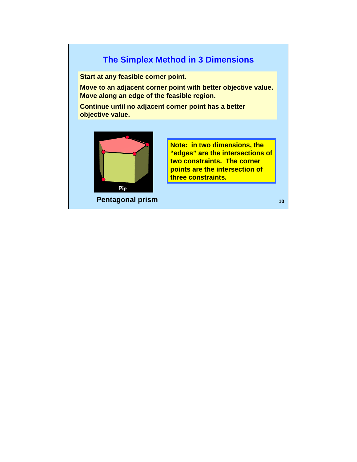#### **The Simplex Method in 3 Dimensions**

**Start at any feasible corner point.** 

**Move to an adjacent corner point with better objective value. Move along an edge of the feasible region.** 

**Continue until no adjacent corner point has a better objective value.** 



**Note: in two dimensions, the "edges" are the intersections of two constraints. The corner points are the intersection of three constraints.** 

**Pentagonal prism 10 10 10 10 10 10 10**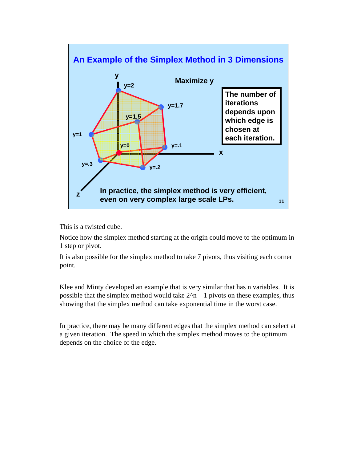

This is a twisted cube.

Notice how the simplex method starting at the origin could move to the optimum in 1 step or pivot.

It is also possible for the simplex method to take 7 pivots, thus visiting each corner point.

Klee and Minty developed an example that is very similar that has n variables. It is possible that the simplex method would take  $2^n - 1$  pivots on these examples, thus showing that the simplex method can take exponential time in the worst case.

In practice, there may be many different edges that the simplex method can select at a given iteration. The speed in which the simplex method moves to the optimum depends on the choice of the edge.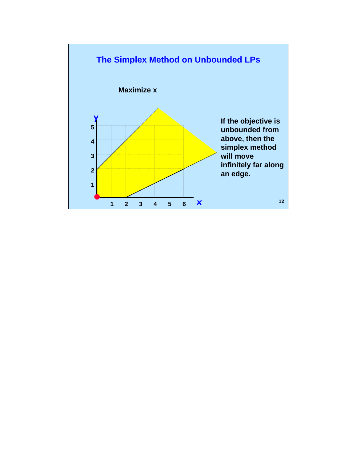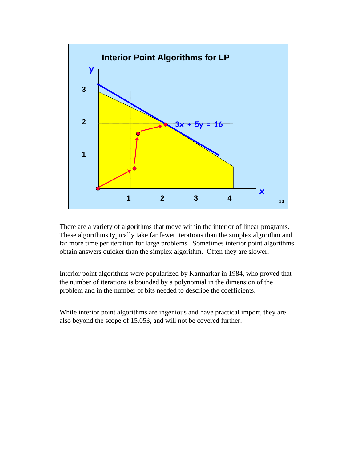

There are a variety of algorithms that move within the interior of linear programs. These algorithms typically take far fewer iterations than the simplex algorithm and far more time per iteration for large problems. Sometimes interior point algorithms obtain answers quicker than the simplex algorithm. Often they are slower.

Interior point algorithms were popularized by Karmarkar in 1984, who proved that the number of iterations is bounded by a polynomial in the dimension of the problem and in the number of bits needed to describe the coefficients.

While interior point algorithms are ingenious and have practical import, they are also beyond the scope of 15.053, and will not be covered further.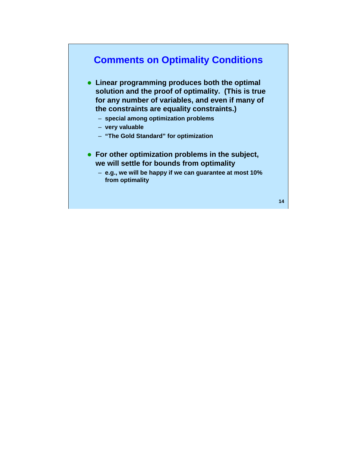## **Comments on Optimality Conditions**

- **Linear programming produces both the optimal solution and the proof of optimality. (This is true for any number of variables, and even if many of the constraints are equality constraints.)** 
	- **special among optimization problems**
	- **very valuable**
	- **"The Gold Standard" for optimization**
- **For other optimization problems in the subject, we will settle for bounds from optimality** 
	- **e.g., we will be happy if we can guarantee at most 10% from optimality**

**14**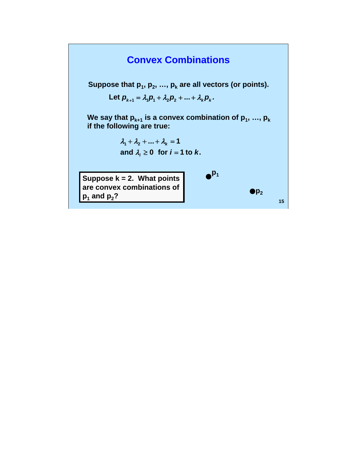## **Convex Combinations**

Suppose that  $p_1, p_2, ..., p_k$  are all vectors (or points).

Let  $p_{k+1} = \lambda_1 p_1 + \lambda_2 p_2 + ... + \lambda_k p_k$ .

We say that  $p_{k+1}$  is a convex combination of  $p_1, ..., p_k$ **if the following are true:** 

> $\lambda_1 + \lambda_2 + ... + \lambda_k = 1$ and  $\lambda_i \geq 0$  for  $i = 1$  to  $k$ .

**Suppose k = 2. What points are convex combinations of**   $p_1$  and  $p_2$ ?

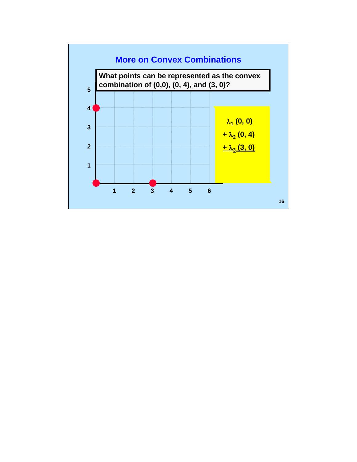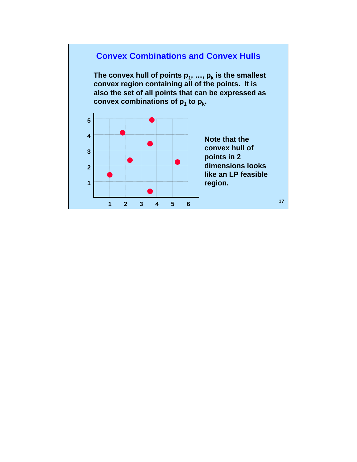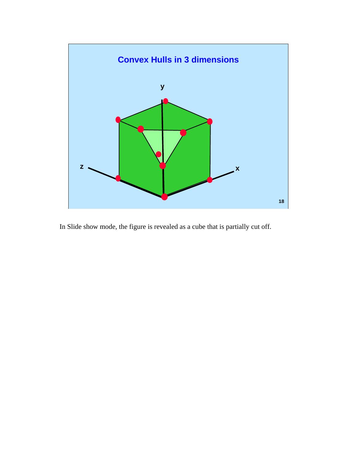

In Slide show mode, the figure is revealed as a cube that is partially cut off.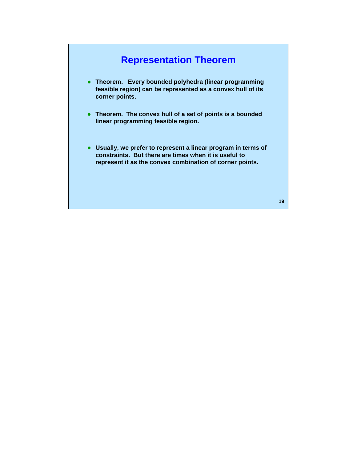## **Representation Theorem**

- **Theorem. Every bounded polyhedra (linear programming feasible region) can be represented as a convex hull of its corner points.**
- Theorem. The convex hull of a set of points is a bounded **linear programming feasible region.**
- **Usually, we prefer to represent a linear program in terms of constraints. But there are times when it is useful to represent it as the convex combination of corner points.**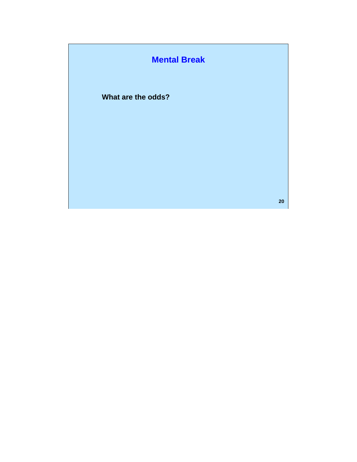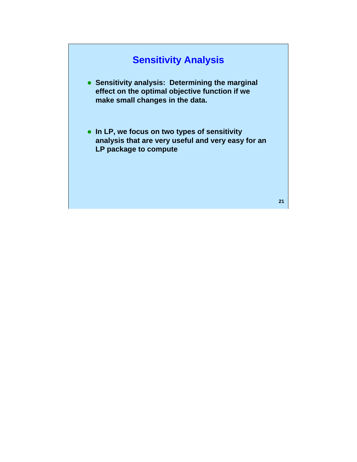## **Sensitivity Analysis**

- **Sensitivity analysis: Determining the marginal effect on the optimal objective function if we make small changes in the data.**
- **In LP, we focus on two types of sensitivity analysis that are very useful and very easy for an LP package to compute**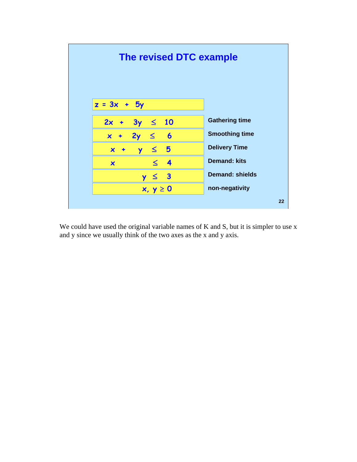

We could have used the original variable names of K and S, but it is simpler to use x and y since we usually think of the two axes as the x and y axis.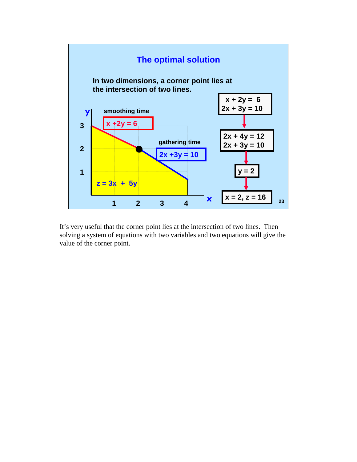

It's very useful that the corner point lies at the intersection of two lines. Then solving a system of equations with two variables and two equations will give the value of the corner point.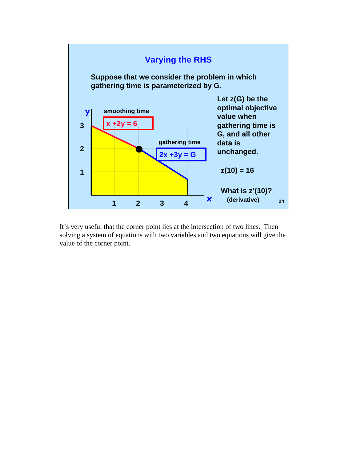

It's very useful that the corner point lies at the intersection of two lines. Then solving a system of equations with two variables and two equations will give the value of the corner point.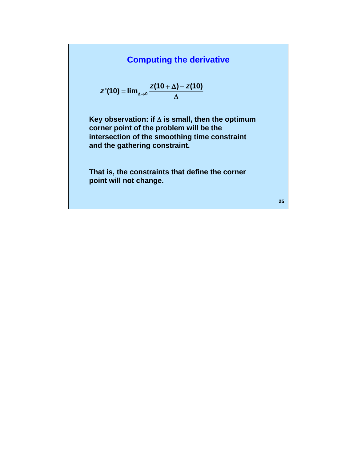### **Computing the derivative**

$$
z'(10) = \lim_{\Delta \to 0} \frac{z(10 + \Delta) - z(10)}{\Delta}
$$

**Key observation: if** Δ **is small, then the optimum corner point of the problem will be the intersection of the smoothing time constraint and the gathering constraint.** 

**That is, the constraints that define the corner point will not change.**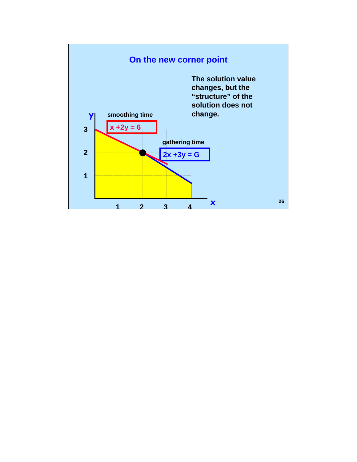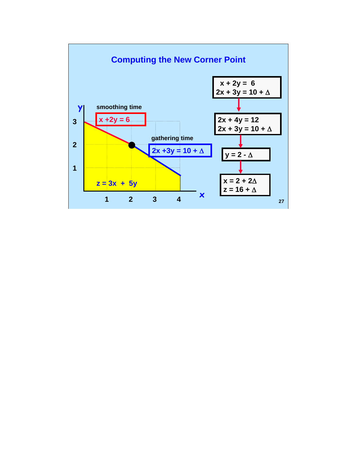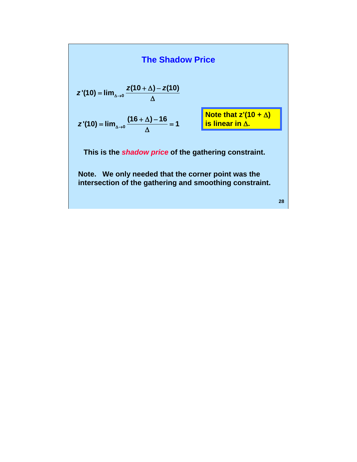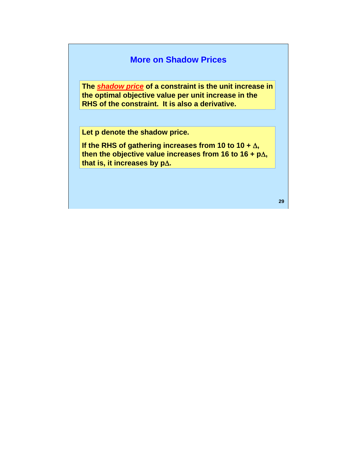#### **More on Shadow Prices**

**The** *shadow price* **of a constraint is the unit increase in the optimal objective value per unit increase in the RHS of the constraint. It is also a derivative.** 

**Let p denote the shadow price.** 

**If the RHS of gathering increases from 10 to 10 +** Δ**, then the objective value increases from 16 to 16 + p**Δ**, that is, it increases by p**Δ**.**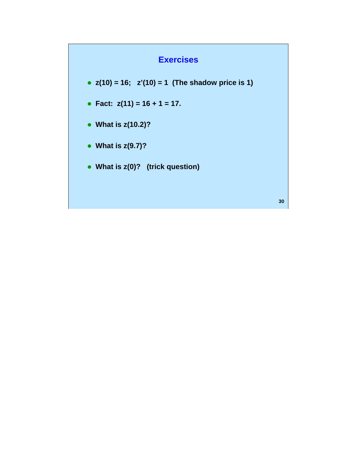### **Exercises**

- $z(10) = 16$ ;  $z'(10) = 1$  (The shadow price is 1)
- z **Fact: z(11) = 16 + 1 = 17.**
- What is  $z(10.2)$ ?
- What is  $z(9.7)$ ?
- What is  $z(0)$ ? (trick question)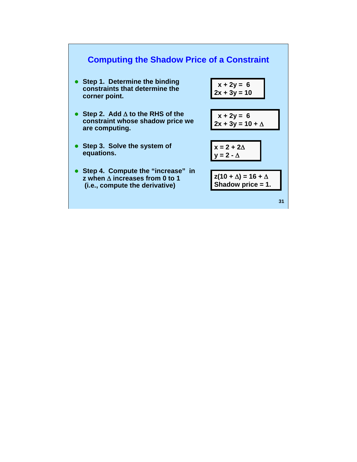#### **Computing the Shadow Price of a Constraint**

**• Step 1. Determine the binding constraints that determine the corner point.** 

|  | $x + 2y = 6$   |  |  |
|--|----------------|--|--|
|  | $2x + 3y = 10$ |  |  |

- z **Step 2. Add** Δ **to the RHS of the constraint whose shadow price we are computing.**
- Step 3. Solve the system of **equations.**
- **Step 4. Compute the "increase" in z when** Δ **increases from 0 to 1 (i.e., compute the derivative)**

$$
x + 2y = 6
$$
  
2x + 3y = 10 +  $\triangle$ 

$$
x = 2 + 2\Delta
$$
  
y = 2 - \Delta

**z(10 +** Δ**) = 16 +** Δ **Shadow price = 1.**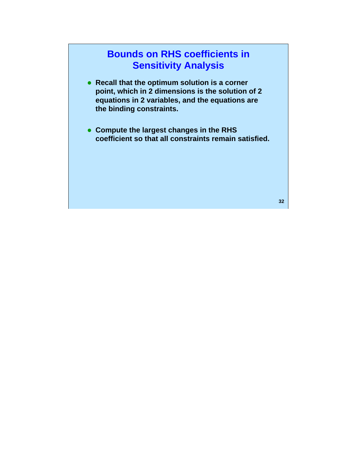## **Bounds on RHS coefficients in Sensitivity Analysis**

- **Recall that the optimum solution is a corner point, which in 2 dimensions is the solution of 2 equations in 2 variables, and the equations are the binding constraints.**
- **Compute the largest changes in the RHS coefficient so that all constraints remain satisfied.**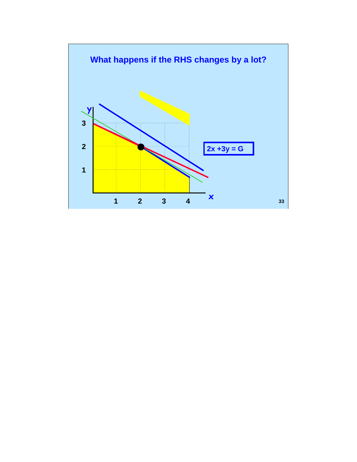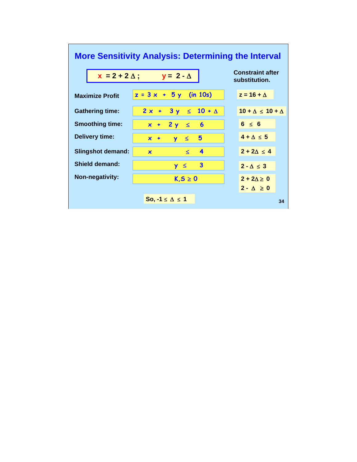# **More Sensitivity Analysis: Determining the Interval Constraint after**

| $x = 2 + 2 \Delta$ ;     | Constraint aner<br>substitution. |                               |
|--------------------------|----------------------------------|-------------------------------|
| <b>Maximize Profit</b>   | $z = 3x + 5y$ (in 10s)           | $z = 16 + \Delta$             |
| <b>Gathering time:</b>   | $2x + 3y \le 10 + \Delta$        | $10 + \Delta \le 10 + \Delta$ |
| <b>Smoothing time:</b>   | $x + 2y \le 6$                   | $6 \leq 6$                    |
| <b>Delivery time:</b>    | $\leq$ 5<br>$x +$<br><b>Y</b>    | $4 + \Delta \leq 5$           |
| <b>Slingshot demand:</b> | 4<br>$\leq$<br>$\mathbf x$       | $2 + 2\Delta \leq 4$          |
| Shield demand:           | $\mathbf{3}$<br>$y \le$          | $2 - \Delta \leq 3$           |
| <b>Non-negativity:</b>   | $K, S \geq 0$                    | $2 + 2\Delta \geq 0$          |
|                          |                                  | $2 - \Delta \geq 0$           |
|                          | So, $-1 \leq \Delta \leq 1$      | 34                            |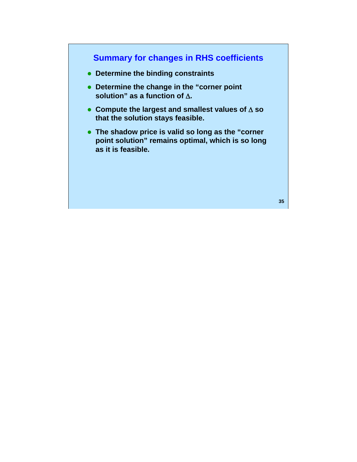### **Summary for changes in RHS coefficients**

- **Determine the binding constraints**
- **Determine the change in the "corner point solution" as a function of** Δ**.**
- z **Compute the largest and smallest values of** Δ **so that the solution stays feasible.**
- The shadow price is valid so long as the "corner **point solution" remains optimal, which is so long as it is feasible.**